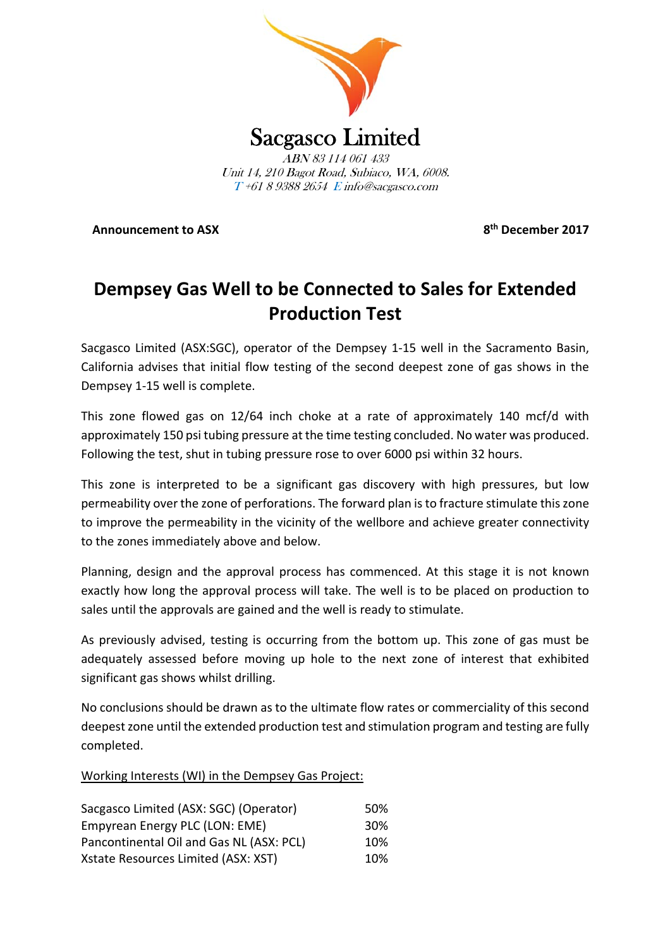

**Announcement to ASX 8th December 2017**

# **Dempsey Gas Well to be Connected to Sales for Extended Production Test**

Sacgasco Limited (ASX:SGC), operator of the Dempsey 1‐15 well in the Sacramento Basin, California advises that initial flow testing of the second deepest zone of gas shows in the Dempsey 1‐15 well is complete.

This zone flowed gas on 12/64 inch choke at a rate of approximately 140 mcf/d with approximately 150 psi tubing pressure at the time testing concluded. No water was produced. Following the test, shut in tubing pressure rose to over 6000 psi within 32 hours.

This zone is interpreted to be a significant gas discovery with high pressures, but low permeability over the zone of perforations. The forward plan isto fracture stimulate thiszone to improve the permeability in the vicinity of the wellbore and achieve greater connectivity to the zones immediately above and below.

Planning, design and the approval process has commenced. At this stage it is not known exactly how long the approval process will take. The well is to be placed on production to sales until the approvals are gained and the well is ready to stimulate.

As previously advised, testing is occurring from the bottom up. This zone of gas must be adequately assessed before moving up hole to the next zone of interest that exhibited significant gas shows whilst drilling.

No conclusions should be drawn as to the ultimate flow rates or commerciality of this second deepest zone until the extended production test and stimulation program and testing are fully completed.

Working Interests (WI) in the Dempsey Gas Project:

| Sacgasco Limited (ASX: SGC) (Operator)   | 50%             |
|------------------------------------------|-----------------|
| Empyrean Energy PLC (LON: EME)           | 30 <sup>%</sup> |
| Pancontinental Oil and Gas NL (ASX: PCL) | 10%             |
| Xstate Resources Limited (ASX: XST)      | 10%             |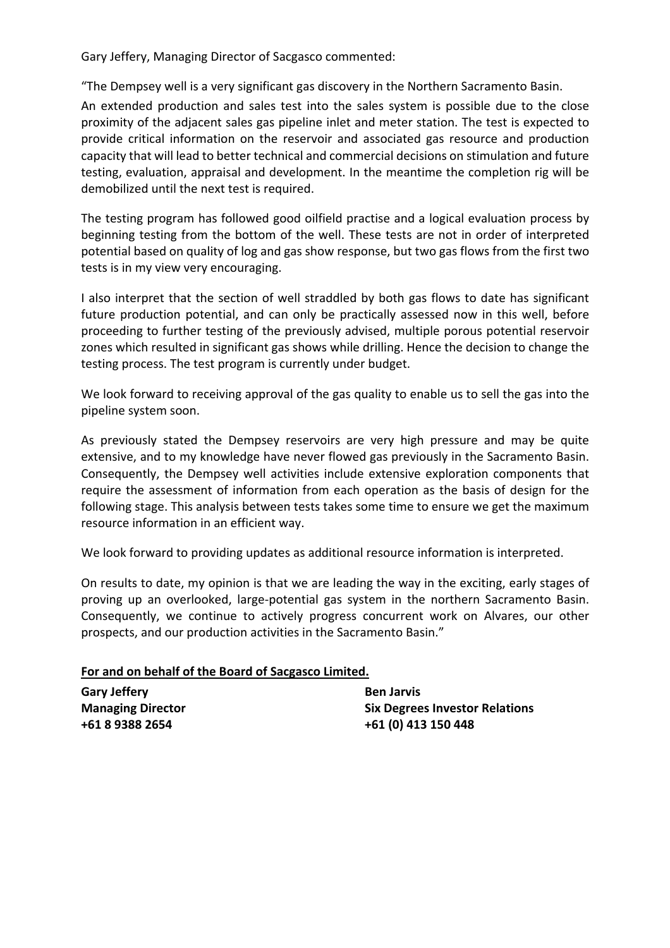Gary Jeffery, Managing Director of Sacgasco commented:

"The Dempsey well is a very significant gas discovery in the Northern Sacramento Basin.

An extended production and sales test into the sales system is possible due to the close proximity of the adjacent sales gas pipeline inlet and meter station. The test is expected to provide critical information on the reservoir and associated gas resource and production capacity that will lead to better technical and commercial decisions on stimulation and future testing, evaluation, appraisal and development. In the meantime the completion rig will be demobilized until the next test is required.

The testing program has followed good oilfield practise and a logical evaluation process by beginning testing from the bottom of the well. These tests are not in order of interpreted potential based on quality of log and gas show response, but two gas flows from the first two tests is in my view very encouraging.

I also interpret that the section of well straddled by both gas flows to date has significant future production potential, and can only be practically assessed now in this well, before proceeding to further testing of the previously advised, multiple porous potential reservoir zones which resulted in significant gas shows while drilling. Hence the decision to change the testing process. The test program is currently under budget.

We look forward to receiving approval of the gas quality to enable us to sell the gas into the pipeline system soon.

As previously stated the Dempsey reservoirs are very high pressure and may be quite extensive, and to my knowledge have never flowed gas previously in the Sacramento Basin. Consequently, the Dempsey well activities include extensive exploration components that require the assessment of information from each operation as the basis of design for the following stage. This analysis between tests takes some time to ensure we get the maximum resource information in an efficient way.

We look forward to providing updates as additional resource information is interpreted.

On results to date, my opinion is that we are leading the way in the exciting, early stages of proving up an overlooked, large‐potential gas system in the northern Sacramento Basin. Consequently, we continue to actively progress concurrent work on Alvares, our other prospects, and our production activities in the Sacramento Basin."

## **For and on behalf of the Board of Sacgasco Limited.**

| <b>Gary Jeffery</b>      | <b>Ben Jarvis</b>                     |
|--------------------------|---------------------------------------|
| <b>Managing Director</b> | <b>Six Degrees Investor Relations</b> |
| +61 8 9388 2654          | +61 (0) 413 150 448                   |